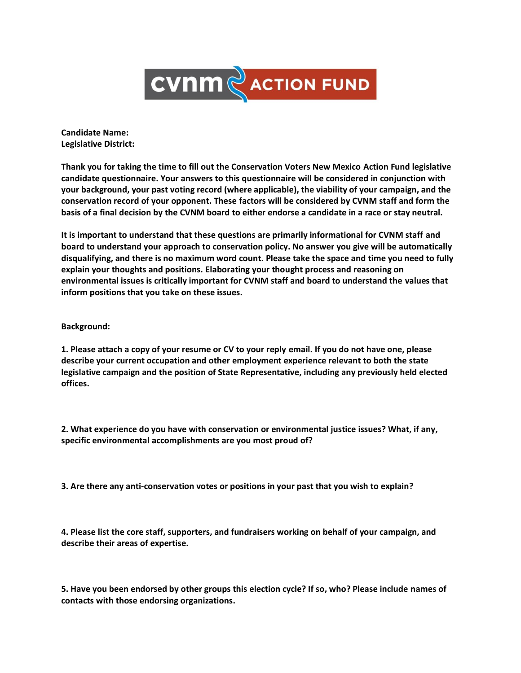

**Candidate Name: Legislative District:** 

**Thank you for taking the time to fill out the Conservation Voters New Mexico Action Fund legislative candidate questionnaire. Your answers to this questionnaire will be considered in conjunction with your background, your past voting record (where applicable), the viability of your campaign, and the conservation record of your opponent. These factors will be considered by CVNM staff and form the basis of a final decision by the CVNM board to either endorse a candidate in a race or stay neutral.** 

**It is important to understand that these questions are primarily informational for CVNM staff and board to understand your approach to conservation policy. No answer you give will be automatically disqualifying, and there is no maximum word count. Please take the space and time you need to fully explain your thoughts and positions. Elaborating your thought process and reasoning on environmental issues is critically important for CVNM staff and board to understand the values that inform positions that you take on these issues.**

**Background:** 

**1. Please attach a copy of your resume or CV to your reply email. If you do not have one, please describe your current occupation and other employment experience relevant to both the state legislative campaign and the position of State Representative, including any previously held elected offices.** 

**2. What experience do you have with conservation or environmental justice issues? What, if any, specific environmental accomplishments are you most proud of?**

**3. Are there any anti-conservation votes or positions in your past that you wish to explain?**

**4. Please list the core staff, supporters, and fundraisers working on behalf of your campaign, and describe their areas of expertise.**

**5. Have you been endorsed by other groups this election cycle? If so, who? Please include names of contacts with those endorsing organizations.**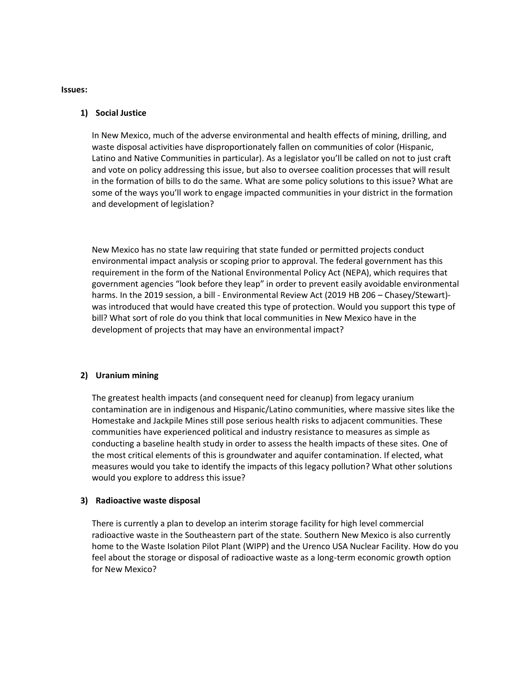**Issues:** 

## **1) Social Justice**

In New Mexico, much of the adverse environmental and health effects of mining, drilling, and waste disposal activities have disproportionately fallen on communities of color (Hispanic, Latino and Native Communities in particular). As a legislator you'll be called on not to just craft and vote on policy addressing this issue, but also to oversee coalition processes that will result in the formation of bills to do the same. What are some policy solutions to this issue? What are some of the ways you'll work to engage impacted communities in your district in the formation and development of legislation?

New Mexico has no state law requiring that state funded or permitted projects conduct environmental impact analysis or scoping prior to approval. The federal government has this requirement in the form of the National Environmental Policy Act (NEPA), which requires that government agencies "look before they leap" in order to prevent easily avoidable environmental harms. In the 2019 session, a bill - Environmental Review Act (2019 HB 206 – Chasey/Stewart) was introduced that would have created this type of protection. Would you support this type of bill? What sort of role do you think that local communities in New Mexico have in the development of projects that may have an environmental impact?

## **2) Uranium mining**

The greatest health impacts (and consequent need for cleanup) from legacy uranium contamination are in indigenous and Hispanic/Latino communities, where massive sites like the Homestake and Jackpile Mines still pose serious health risks to adjacent communities. These communities have experienced political and industry resistance to measures as simple as conducting a baseline health study in order to assess the health impacts of these sites. One of the most critical elements of this is groundwater and aquifer contamination. If elected, what measures would you take to identify the impacts of this legacy pollution? What other solutions would you explore to address this issue?

## **3) Radioactive waste disposal**

There is currently a plan to develop an interim storage facility for high level commercial radioactive waste in the Southeastern part of the state. Southern New Mexico is also currently home to the Waste Isolation Pilot Plant (WIPP) and the Urenco USA Nuclear Facility. How do you feel about the storage or disposal of radioactive waste as a long-term economic growth option for New Mexico?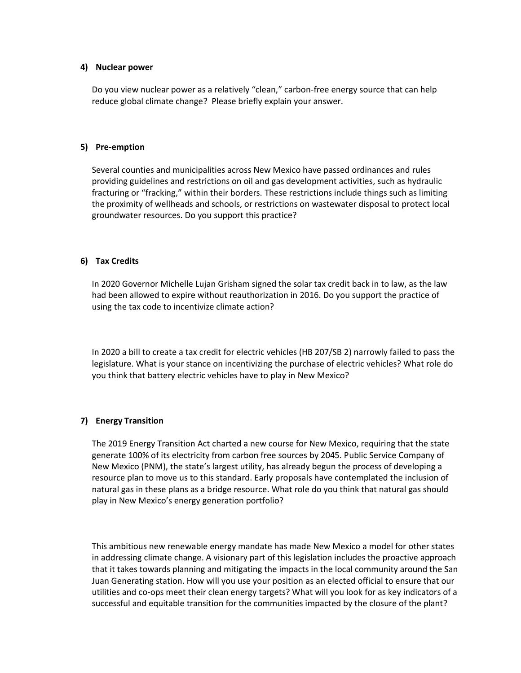## **4) Nuclear power**

Do you view nuclear power as a relatively "clean," carbon-free energy source that can help reduce global climate change? Please briefly explain your answer.

## **5) Pre-emption**

Several counties and municipalities across New Mexico have passed ordinances and rules providing guidelines and restrictions on oil and gas development activities, such as hydraulic fracturing or "fracking," within their borders. These restrictions include things such as limiting the proximity of wellheads and schools, or restrictions on wastewater disposal to protect local groundwater resources. Do you support this practice?

## **6) Tax Credits**

In 2020 Governor Michelle Lujan Grisham signed the solar tax credit back in to law, as the law had been allowed to expire without reauthorization in 2016. Do you support the practice of using the tax code to incentivize climate action?

In 2020 a bill to create a tax credit for electric vehicles (HB 207/SB 2) narrowly failed to pass the legislature. What is your stance on incentivizing the purchase of electric vehicles? What role do you think that battery electric vehicles have to play in New Mexico?

# **7) Energy Transition**

The 2019 Energy Transition Act charted a new course for New Mexico, requiring that the state generate 100% of its electricity from carbon free sources by 2045. Public Service Company of New Mexico (PNM), the state's largest utility, has already begun the process of developing a resource plan to move us to this standard. Early proposals have contemplated the inclusion of natural gas in these plans as a bridge resource. What role do you think that natural gas should play in New Mexico's energy generation portfolio?

This ambitious new renewable energy mandate has made New Mexico a model for other states in addressing climate change. A visionary part of this legislation includes the proactive approach that it takes towards planning and mitigating the impacts in the local community around the San Juan Generating station. How will you use your position as an elected official to ensure that our utilities and co-ops meet their clean energy targets? What will you look for as key indicators of a successful and equitable transition for the communities impacted by the closure of the plant?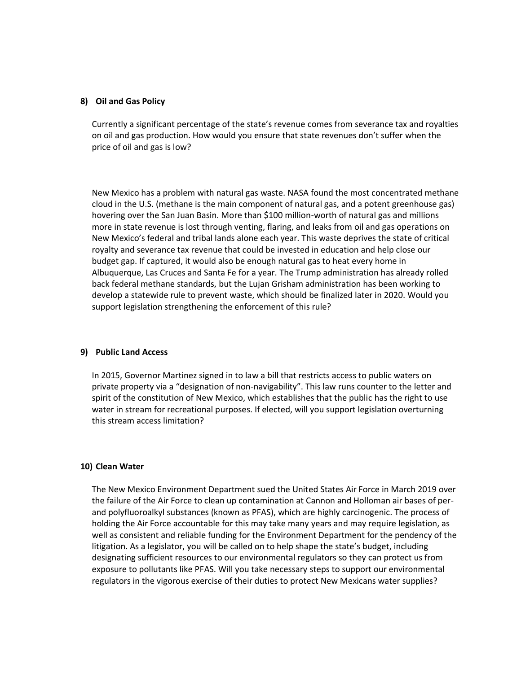## **8) Oil and Gas Policy**

Currently a significant percentage of the state's revenue comes from severance tax and royalties on oil and gas production. How would you ensure that state revenues don't suffer when the price of oil and gas is low?

New Mexico has a problem with natural gas waste. NASA found the most concentrated methane cloud in the U.S. (methane is the main component of natural gas, and a potent greenhouse gas) hovering over the San Juan Basin. More than \$100 million-worth of natural gas and millions more in state revenue is lost through venting, flaring, and leaks from oil and gas operations on New Mexico's federal and tribal lands alone each year. This waste deprives the state of critical royalty and severance tax revenue that could be invested in education and help close our budget gap. If captured, it would also be enough natural gas to heat every home in Albuquerque, Las Cruces and Santa Fe for a year. The Trump administration has already rolled back federal methane standards, but the Lujan Grisham administration has been working to develop a statewide rule to prevent waste, which should be finalized later in 2020. Would you support legislation strengthening the enforcement of this rule?

# **9) Public Land Access**

In 2015, Governor Martinez signed in to law a bill that restricts access to public waters on private property via a "designation of non-navigability". This law runs counter to the letter and spirit of the constitution of New Mexico, which establishes that the public has the right to use water in stream for recreational purposes. If elected, will you support legislation overturning this stream access limitation?

## **10) Clean Water**

The New Mexico Environment Department sued the United States Air Force in March 2019 over the failure of the Air Force to clean up contamination at Cannon and Holloman air bases of perand polyfluoroalkyl substances (known as PFAS), which are highly carcinogenic. The process of holding the Air Force accountable for this may take many years and may require legislation, as well as consistent and reliable funding for the Environment Department for the pendency of the litigation. As a legislator, you will be called on to help shape the state's budget, including designating sufficient resources to our environmental regulators so they can protect us from exposure to pollutants like PFAS. Will you take necessary steps to support our environmental regulators in the vigorous exercise of their duties to protect New Mexicans water supplies?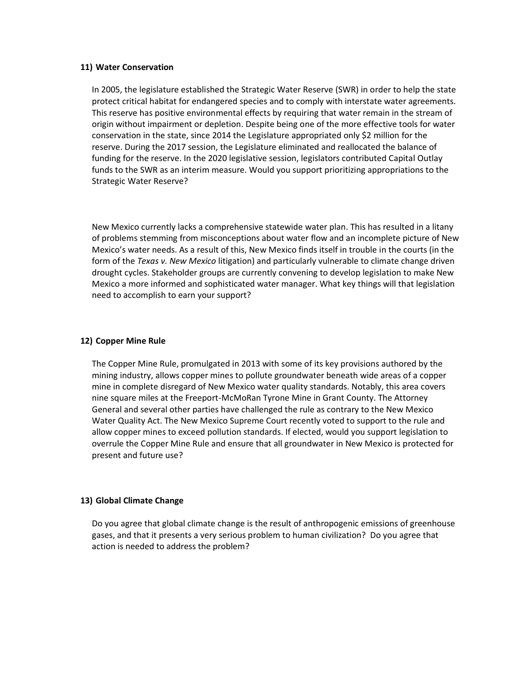## **11) Water Conservation**

In 2005, the legislature established the Strategic Water Reserve (SWR) in order to help the state protect critical habitat for endangered species and to comply with interstate water agreements. This reserve has positive environmental effects by requiring that water remain in the stream of origin without impairment or depletion. Despite being one of the more effective tools for water conservation in the state, since 2014 the Legislature appropriated only \$2 million for the reserve. During the 2017 session, the Legislature eliminated and reallocated the balance of funding for the reserve. In the 2020 legislative session, legislators contributed Capital Outlay funds to the SWR as an interim measure. Would you support prioritizing appropriations to the Strategic Water Reserve?

New Mexico currently lacks a comprehensive statewide water plan. This has resulted in a litany of problems stemming from misconceptions about water flow and an incomplete picture of New Mexico's water needs. As a result of this, New Mexico finds itself in trouble in the courts (in the form of the *Texas v. New Mexico* litigation) and particularly vulnerable to climate change driven drought cycles. Stakeholder groups are currently convening to develop legislation to make New Mexico a more informed and sophisticated water manager. What key things will that legislation need to accomplish to earn your support?

## **12) Copper Mine Rule**

The Copper Mine Rule, promulgated in 2013 with some of its key provisions authored by the mining industry, allows copper mines to pollute groundwater beneath wide areas of a copper mine in complete disregard of New Mexico water quality standards. Notably, this area covers nine square miles at the Freeport-McMoRan Tyrone Mine in Grant County. The Attorney General and several other parties have challenged the rule as contrary to the New Mexico Water Quality Act. The New Mexico Supreme Court recently voted to support to the rule and allow copper mines to exceed pollution standards. If elected, would you support legislation to overrule the Copper Mine Rule and ensure that all groundwater in New Mexico is protected for present and future use?

## **13) Global Climate Change**

Do you agree that global climate change is the result of anthropogenic emissions of greenhouse gases, and that it presents a very serious problem to human civilization? Do you agree that action is needed to address the problem?